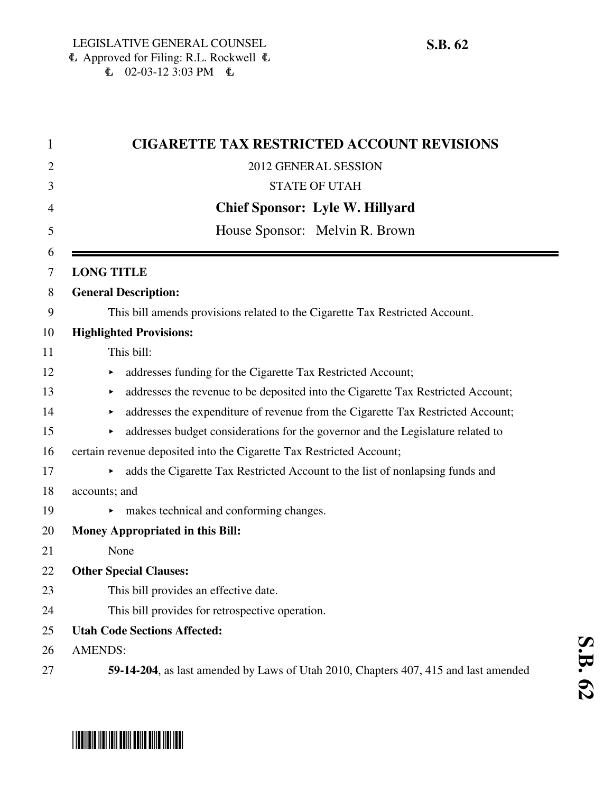| <b>CIGARETTE TAX RESTRICTED ACCOUNT REVISIONS</b>                                     |
|---------------------------------------------------------------------------------------|
| 2012 GENERAL SESSION                                                                  |
| <b>STATE OF UTAH</b>                                                                  |
| <b>Chief Sponsor: Lyle W. Hillyard</b>                                                |
|                                                                                       |
| House Sponsor: Melvin R. Brown                                                        |
| <b>LONG TITLE</b>                                                                     |
| <b>General Description:</b>                                                           |
| This bill amends provisions related to the Cigarette Tax Restricted Account.          |
| <b>Highlighted Provisions:</b>                                                        |
| This bill:                                                                            |
| addresses funding for the Cigarette Tax Restricted Account;<br>▶                      |
| addresses the revenue to be deposited into the Cigarette Tax Restricted Account;<br>▶ |
| addresses the expenditure of revenue from the Cigarette Tax Restricted Account;<br>×  |
| addresses budget considerations for the governor and the Legislature related to       |
| certain revenue deposited into the Cigarette Tax Restricted Account;                  |
| adds the Cigarette Tax Restricted Account to the list of nonlapsing funds and<br>▶    |
| accounts; and                                                                         |
| makes technical and conforming changes.                                               |
| <b>Money Appropriated in this Bill:</b>                                               |
| None                                                                                  |
| <b>Other Special Clauses:</b>                                                         |
| This bill provides an effective date.                                                 |
| This bill provides for retrospective operation.                                       |
| <b>Utah Code Sections Affected:</b>                                                   |

**S.B. 62**

- 26 AMENDS:
- 27 **59-14-204**, as last amended by Laws of Utah 2010, Chapters 407, 415 and last amended

# \*SB0062\*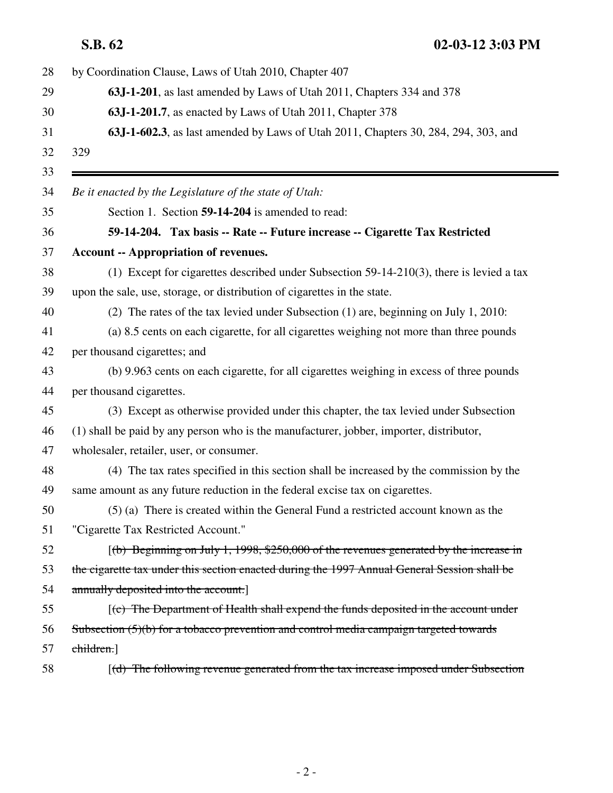**S.B. 62 02-03-12 3:03 PM**

| by Coordination Clause, Laws of Utah 2010, Chapter 407                                       |
|----------------------------------------------------------------------------------------------|
| 63J-1-201, as last amended by Laws of Utah 2011, Chapters 334 and 378                        |
| 63J-1-201.7, as enacted by Laws of Utah 2011, Chapter 378                                    |
| 63J-1-602.3, as last amended by Laws of Utah 2011, Chapters 30, 284, 294, 303, and           |
| 329                                                                                          |
|                                                                                              |
| Be it enacted by the Legislature of the state of Utah:                                       |
| Section 1. Section 59-14-204 is amended to read:                                             |
| 59-14-204. Tax basis -- Rate -- Future increase -- Cigarette Tax Restricted                  |
| <b>Account -- Appropriation of revenues.</b>                                                 |
| (1) Except for cigarettes described under Subsection $59-14-210(3)$ , there is levied a tax  |
| upon the sale, use, storage, or distribution of cigarettes in the state.                     |
| (2) The rates of the tax levied under Subsection (1) are, beginning on July 1, 2010:         |
| (a) 8.5 cents on each cigarette, for all cigarettes weighing not more than three pounds      |
| per thousand cigarettes; and                                                                 |
| (b) 9.963 cents on each cigarette, for all cigarettes weighing in excess of three pounds     |
| per thousand cigarettes.                                                                     |
| (3) Except as otherwise provided under this chapter, the tax levied under Subsection         |
| (1) shall be paid by any person who is the manufacturer, jobber, importer, distributor,      |
| wholesaler, retailer, user, or consumer.                                                     |
| (4) The tax rates specified in this section shall be increased by the commission by the      |
| same amount as any future reduction in the federal excise tax on cigarettes.                 |
| (5) (a) There is created within the General Fund a restricted account known as the           |
| "Cigarette Tax Restricted Account."                                                          |
| $(6)$ Beginning on July 1, 1998, \$250,000 of the revenues generated by the increase in      |
| the cigarette tax under this section enacted during the 1997 Annual General Session shall be |
| annually deposited into the account.]                                                        |
| $(c)$ The Department of Health shall expend the funds deposited in the account under         |
| Subsection $(5)(b)$ for a tobacco prevention and control media campaign targeted towards     |
| children.                                                                                    |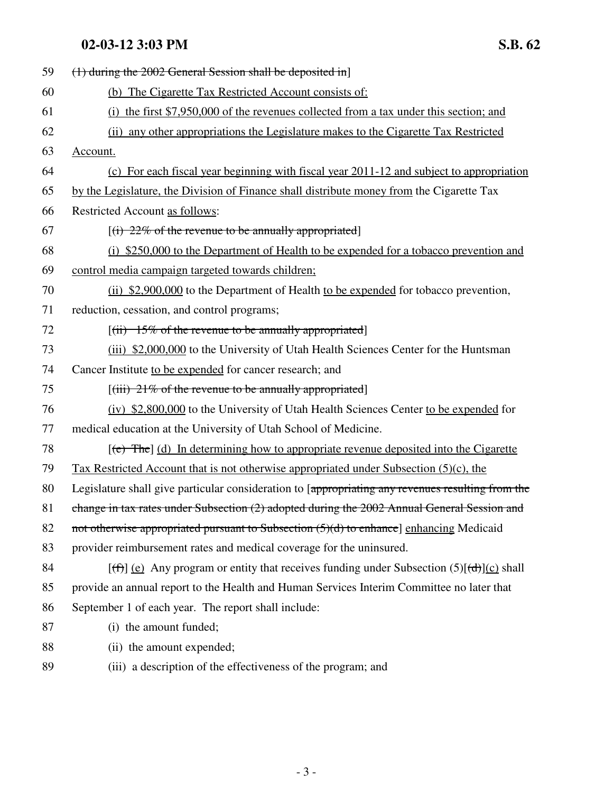| 59 | $(1)$ during the 2002 General Session shall be deposited in                                                                    |
|----|--------------------------------------------------------------------------------------------------------------------------------|
| 60 | (b) The Cigarette Tax Restricted Account consists of:                                                                          |
| 61 | (i) the first \$7,950,000 of the revenues collected from a tax under this section; and                                         |
| 62 | (ii) any other appropriations the Legislature makes to the Cigarette Tax Restricted                                            |
| 63 | Account.                                                                                                                       |
| 64 | (c) For each fiscal year beginning with fiscal year 2011-12 and subject to appropriation                                       |
| 65 | by the Legislature, the Division of Finance shall distribute money from the Cigarette Tax                                      |
| 66 | Restricted Account as follows:                                                                                                 |
| 67 | $[(i) 22\%$ of the revenue to be annually appropriated                                                                         |
| 68 | (i) \$250,000 to the Department of Health to be expended for a tobacco prevention and                                          |
| 69 | control media campaign targeted towards children;                                                                              |
| 70 | (ii) \$2,900,000 to the Department of Health to be expended for tobacco prevention,                                            |
| 71 | reduction, cessation, and control programs;                                                                                    |
| 72 | $[(ii) 15\%$ of the revenue to be annually appropriated                                                                        |
| 73 | (iii) \$2,000,000 to the University of Utah Health Sciences Center for the Huntsman                                            |
| 74 | Cancer Institute to be expended for cancer research; and                                                                       |
| 75 | $[(iii) 21\%$ of the revenue to be annually appropriated                                                                       |
| 76 | (iv) \$2,800,000 to the University of Utah Health Sciences Center to be expended for                                           |
| 77 | medical education at the University of Utah School of Medicine.                                                                |
| 78 | $[\text{e}^{\text{e}}]$ The $]$ (d) In determining how to appropriate revenue deposited into the Cigarette                     |
| 79 | <u>Tax Restricted Account that is not otherwise appropriated under Subsection (5)(c), the</u>                                  |
| 80 | Legislature shall give particular consideration to [appropriating any revenues resulting from the                              |
| 81 | change in tax rates under Subsection (2) adopted during the 2002 Annual General Session and                                    |
| 82 | not otherwise appropriated pursuant to Subsection $(5)(d)$ to enhance] enhancing Medicaid                                      |
| 83 | provider reimbursement rates and medical coverage for the uninsured.                                                           |
| 84 | $[\text{f}^{\text{f}}]$ (e) Any program or entity that receives funding under Subsection (5) $[\text{f}^{\text{d}}]$ (c) shall |
| 85 | provide an annual report to the Health and Human Services Interim Committee no later that                                      |
| 86 | September 1 of each year. The report shall include:                                                                            |
| 87 | (i) the amount funded;                                                                                                         |
| 88 | (ii) the amount expended;                                                                                                      |
| 89 | (iii) a description of the effectiveness of the program; and                                                                   |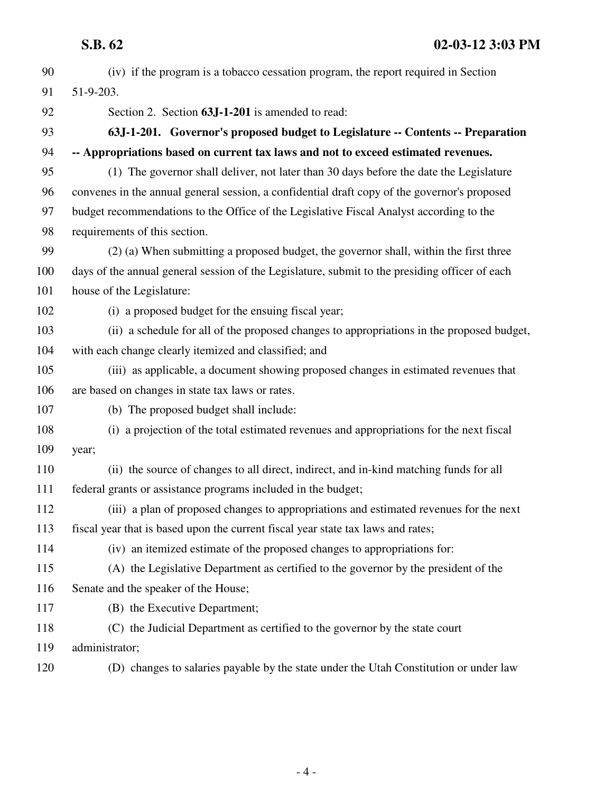| 90  | (iv) if the program is a tobacco cessation program, the report required in Section             |
|-----|------------------------------------------------------------------------------------------------|
| 91  | 51-9-203.                                                                                      |
| 92  | Section 2. Section 63J-1-201 is amended to read:                                               |
| 93  | 63J-1-201. Governor's proposed budget to Legislature -- Contents -- Preparation                |
| 94  | -- Appropriations based on current tax laws and not to exceed estimated revenues.              |
| 95  | (1) The governor shall deliver, not later than 30 days before the date the Legislature         |
| 96  | convenes in the annual general session, a confidential draft copy of the governor's proposed   |
| 97  | budget recommendations to the Office of the Legislative Fiscal Analyst according to the        |
| 98  | requirements of this section.                                                                  |
| 99  | (2) (a) When submitting a proposed budget, the governor shall, within the first three          |
| 100 | days of the annual general session of the Legislature, submit to the presiding officer of each |
| 101 | house of the Legislature:                                                                      |
| 102 | (i) a proposed budget for the ensuing fiscal year;                                             |
| 103 | (ii) a schedule for all of the proposed changes to appropriations in the proposed budget,      |
| 104 | with each change clearly itemized and classified; and                                          |
| 105 | (iii) as applicable, a document showing proposed changes in estimated revenues that            |
| 106 | are based on changes in state tax laws or rates.                                               |
| 107 | (b) The proposed budget shall include:                                                         |
| 108 | (i) a projection of the total estimated revenues and appropriations for the next fiscal        |
| 109 | year;                                                                                          |
| 110 | (ii) the source of changes to all direct, indirect, and in-kind matching funds for all         |
| 111 | federal grants or assistance programs included in the budget;                                  |
| 112 | (iii) a plan of proposed changes to appropriations and estimated revenues for the next         |
| 113 | fiscal year that is based upon the current fiscal year state tax laws and rates;               |
| 114 | (iv) an itemized estimate of the proposed changes to appropriations for:                       |
| 115 | (A) the Legislative Department as certified to the governor by the president of the            |
| 116 | Senate and the speaker of the House;                                                           |
| 117 | (B) the Executive Department;                                                                  |
| 118 | (C) the Judicial Department as certified to the governor by the state court                    |
| 119 | administrator;                                                                                 |
| 120 | (D) changes to salaries payable by the state under the Utah Constitution or under law          |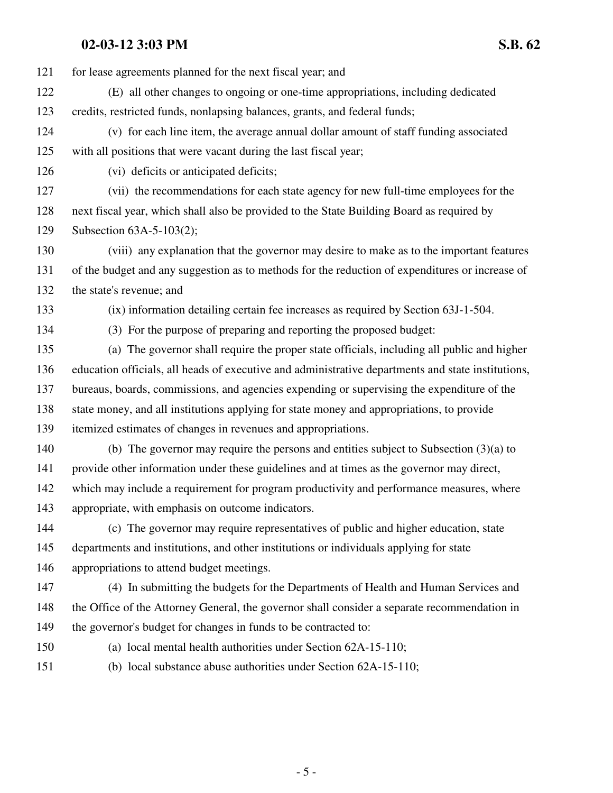| 121 | for lease agreements planned for the next fiscal year; and                                         |
|-----|----------------------------------------------------------------------------------------------------|
| 122 | (E) all other changes to ongoing or one-time appropriations, including dedicated                   |
| 123 | credits, restricted funds, nonlapsing balances, grants, and federal funds;                         |
| 124 | (v) for each line item, the average annual dollar amount of staff funding associated               |
| 125 | with all positions that were vacant during the last fiscal year;                                   |
| 126 | (vi) deficits or anticipated deficits;                                                             |
| 127 | (vii) the recommendations for each state agency for new full-time employees for the                |
| 128 | next fiscal year, which shall also be provided to the State Building Board as required by          |
| 129 | Subsection 63A-5-103(2);                                                                           |
| 130 | (viii) any explanation that the governor may desire to make as to the important features           |
| 131 | of the budget and any suggestion as to methods for the reduction of expenditures or increase of    |
| 132 | the state's revenue; and                                                                           |
| 133 | (ix) information detailing certain fee increases as required by Section 63J-1-504.                 |
| 134 | (3) For the purpose of preparing and reporting the proposed budget:                                |
| 135 | (a) The governor shall require the proper state officials, including all public and higher         |
| 136 | education officials, all heads of executive and administrative departments and state institutions, |
| 137 | bureaus, boards, commissions, and agencies expending or supervising the expenditure of the         |
| 138 | state money, and all institutions applying for state money and appropriations, to provide          |
| 139 | itemized estimates of changes in revenues and appropriations.                                      |
| 140 | (b) The governor may require the persons and entities subject to Subsection $(3)(a)$ to            |
| 141 | provide other information under these guidelines and at times as the governor may direct,          |
| 142 | which may include a requirement for program productivity and performance measures, where           |
| 143 | appropriate, with emphasis on outcome indicators.                                                  |
| 144 | (c) The governor may require representatives of public and higher education, state                 |
| 145 | departments and institutions, and other institutions or individuals applying for state             |
| 146 | appropriations to attend budget meetings.                                                          |
| 147 | (4) In submitting the budgets for the Departments of Health and Human Services and                 |
| 148 | the Office of the Attorney General, the governor shall consider a separate recommendation in       |
| 149 | the governor's budget for changes in funds to be contracted to:                                    |
| 150 | (a) local mental health authorities under Section 62A-15-110;                                      |
| 151 | (b) local substance abuse authorities under Section 62A-15-110;                                    |
|     |                                                                                                    |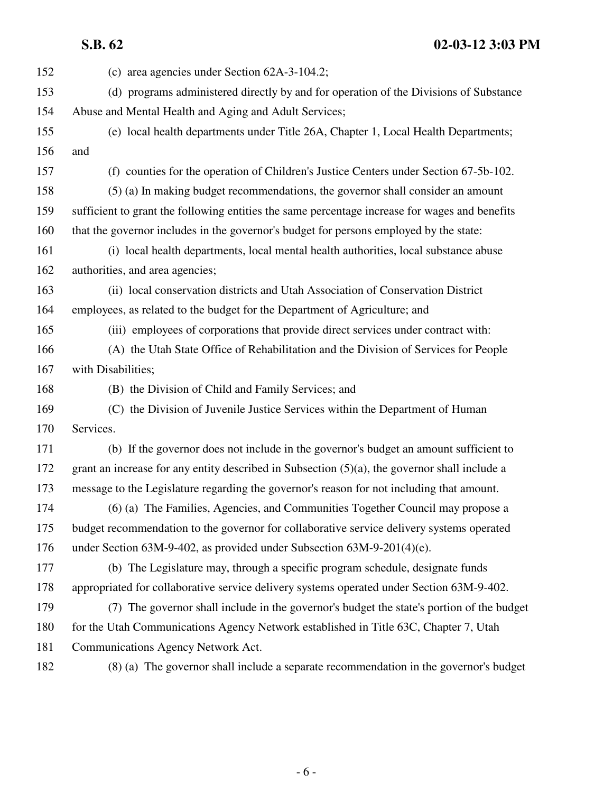**S.B. 62 02-03-12 3:03 PM**

| 152 | (c) area agencies under Section $62A-3-104.2$ ;                                                  |
|-----|--------------------------------------------------------------------------------------------------|
| 153 | (d) programs administered directly by and for operation of the Divisions of Substance            |
| 154 | Abuse and Mental Health and Aging and Adult Services;                                            |
| 155 | (e) local health departments under Title 26A, Chapter 1, Local Health Departments;               |
| 156 | and                                                                                              |
| 157 | (f) counties for the operation of Children's Justice Centers under Section 67-5b-102.            |
| 158 | (5) (a) In making budget recommendations, the governor shall consider an amount                  |
| 159 | sufficient to grant the following entities the same percentage increase for wages and benefits   |
| 160 | that the governor includes in the governor's budget for persons employed by the state:           |
| 161 | (i) local health departments, local mental health authorities, local substance abuse             |
| 162 | authorities, and area agencies;                                                                  |
| 163 | (ii) local conservation districts and Utah Association of Conservation District                  |
| 164 | employees, as related to the budget for the Department of Agriculture; and                       |
| 165 | (iii) employees of corporations that provide direct services under contract with:                |
| 166 | (A) the Utah State Office of Rehabilitation and the Division of Services for People              |
| 167 | with Disabilities;                                                                               |
| 168 | (B) the Division of Child and Family Services; and                                               |
| 169 | (C) the Division of Juvenile Justice Services within the Department of Human                     |
| 170 | Services.                                                                                        |
| 171 | (b) If the governor does not include in the governor's budget an amount sufficient to            |
| 172 | grant an increase for any entity described in Subsection $(5)(a)$ , the governor shall include a |
| 173 | message to the Legislature regarding the governor's reason for not including that amount.        |
| 174 | (6) (a) The Families, Agencies, and Communities Together Council may propose a                   |
| 175 | budget recommendation to the governor for collaborative service delivery systems operated        |
| 176 | under Section 63M-9-402, as provided under Subsection 63M-9-201(4)(e).                           |
| 177 | (b) The Legislature may, through a specific program schedule, designate funds                    |
| 178 | appropriated for collaborative service delivery systems operated under Section 63M-9-402.        |
| 179 | (7) The governor shall include in the governor's budget the state's portion of the budget        |
| 180 | for the Utah Communications Agency Network established in Title 63C, Chapter 7, Utah             |
| 181 | Communications Agency Network Act.                                                               |
| 182 | (8) (a) The governor shall include a separate recommendation in the governor's budget            |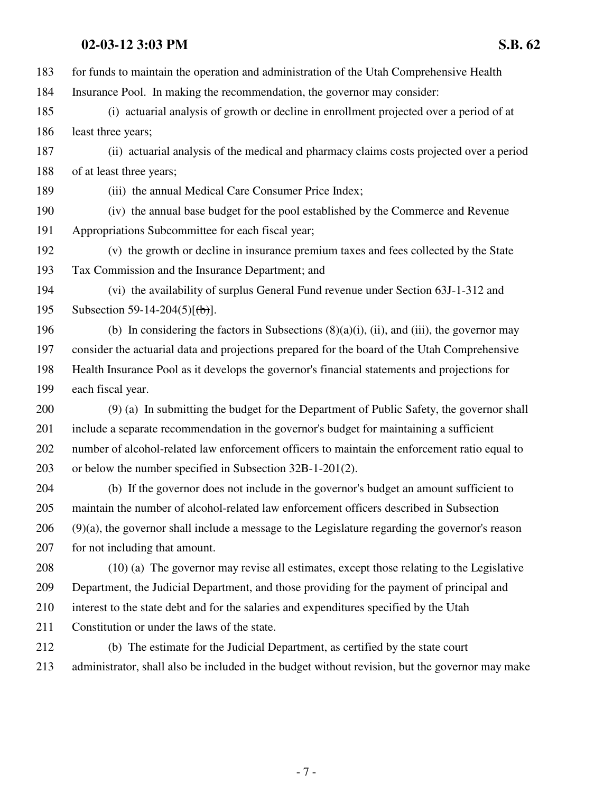183 for funds to maintain the operation and administration of the Utah Comprehensive Health 184 Insurance Pool. In making the recommendation, the governor may consider: 185 (i) actuarial analysis of growth or decline in enrollment projected over a period of at 186 least three years; 187 (ii) actuarial analysis of the medical and pharmacy claims costs projected over a period 188 of at least three years; 189 (iii) the annual Medical Care Consumer Price Index; 190 (iv) the annual base budget for the pool established by the Commerce and Revenue 191 Appropriations Subcommittee for each fiscal year; 192 (v) the growth or decline in insurance premium taxes and fees collected by the State 193 Tax Commission and the Insurance Department; and 194 (vi) the availability of surplus General Fund revenue under Section 63J-1-312 and 195 Subsection 59-14-204(5) $[\frac{1}{10}]$ . 196 (b) In considering the factors in Subsections  $(8)(a)(i)$ ,  $(ii)$ , and  $(iii)$ , the governor may 197 consider the actuarial data and projections prepared for the board of the Utah Comprehensive 198 Health Insurance Pool as it develops the governor's financial statements and projections for 199 each fiscal year.

200 (9) (a) In submitting the budget for the Department of Public Safety, the governor shall 201 include a separate recommendation in the governor's budget for maintaining a sufficient 202 number of alcohol-related law enforcement officers to maintain the enforcement ratio equal to 203 or below the number specified in Subsection 32B-1-201(2).

204 (b) If the governor does not include in the governor's budget an amount sufficient to 205 maintain the number of alcohol-related law enforcement officers described in Subsection 206 (9)(a), the governor shall include a message to the Legislature regarding the governor's reason 207 for not including that amount.

208 (10) (a) The governor may revise all estimates, except those relating to the Legislative 209 Department, the Judicial Department, and those providing for the payment of principal and 210 interest to the state debt and for the salaries and expenditures specified by the Utah 211 Constitution or under the laws of the state.

212 (b) The estimate for the Judicial Department, as certified by the state court 213 administrator, shall also be included in the budget without revision, but the governor may make

- 7 -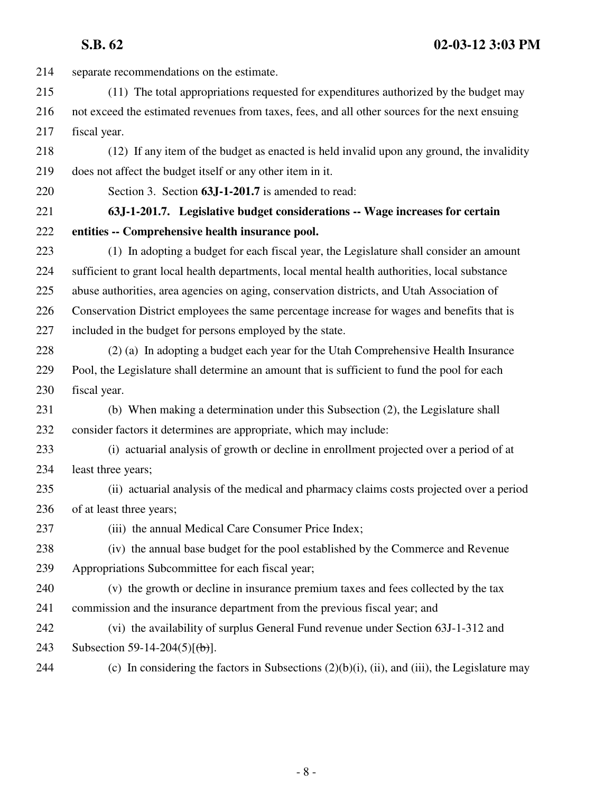**S.B. 62 02-03-12 3:03 PM**

214 separate recommendations on the estimate. 215 (11) The total appropriations requested for expenditures authorized by the budget may 216 not exceed the estimated revenues from taxes, fees, and all other sources for the next ensuing 217 fiscal year. 218 (12) If any item of the budget as enacted is held invalid upon any ground, the invalidity 219 does not affect the budget itself or any other item in it. 220 Section 3. Section **63J-1-201.7** is amended to read: 221 **63J-1-201.7. Legislative budget considerations -- Wage increases for certain** 222 **entities -- Comprehensive health insurance pool.** 223 (1) In adopting a budget for each fiscal year, the Legislature shall consider an amount 224 sufficient to grant local health departments, local mental health authorities, local substance 225 abuse authorities, area agencies on aging, conservation districts, and Utah Association of 226 Conservation District employees the same percentage increase for wages and benefits that is 227 included in the budget for persons employed by the state. 228 (2) (a) In adopting a budget each year for the Utah Comprehensive Health Insurance 229 Pool, the Legislature shall determine an amount that is sufficient to fund the pool for each 230 fiscal year. 231 (b) When making a determination under this Subsection (2), the Legislature shall 232 consider factors it determines are appropriate, which may include: 233 (i) actuarial analysis of growth or decline in enrollment projected over a period of at 234 least three years; 235 (ii) actuarial analysis of the medical and pharmacy claims costs projected over a period 236 of at least three years; 237 (iii) the annual Medical Care Consumer Price Index; 238 (iv) the annual base budget for the pool established by the Commerce and Revenue 239 Appropriations Subcommittee for each fiscal year; 240 (v) the growth or decline in insurance premium taxes and fees collected by the tax 241 commission and the insurance department from the previous fiscal year; and 242 (vi) the availability of surplus General Fund revenue under Section 63J-1-312 and 243 Subsection 59-14-204(5) $[\frac{1}{b}]$ . 244 (c) In considering the factors in Subsections  $(2)(b)(i)$ , (ii), and (iii), the Legislature may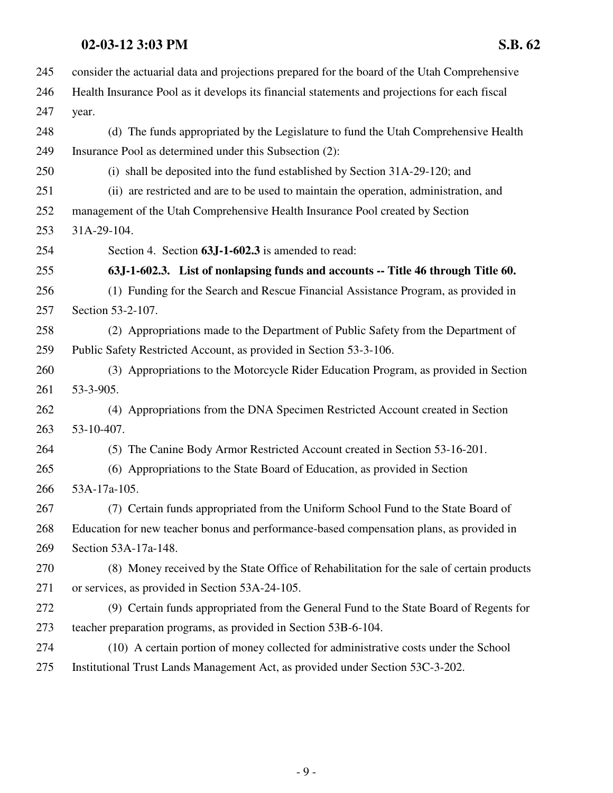| 245 | consider the actuarial data and projections prepared for the board of the Utah Comprehensive  |
|-----|-----------------------------------------------------------------------------------------------|
| 246 | Health Insurance Pool as it develops its financial statements and projections for each fiscal |
| 247 | year.                                                                                         |
| 248 | (d) The funds appropriated by the Legislature to fund the Utah Comprehensive Health           |
| 249 | Insurance Pool as determined under this Subsection (2):                                       |
| 250 | (i) shall be deposited into the fund established by Section 31A-29-120; and                   |
| 251 | (ii) are restricted and are to be used to maintain the operation, administration, and         |
| 252 | management of the Utah Comprehensive Health Insurance Pool created by Section                 |
| 253 | 31A-29-104.                                                                                   |
| 254 | Section 4. Section 63J-1-602.3 is amended to read:                                            |
| 255 | 63J-1-602.3. List of nonlapsing funds and accounts -- Title 46 through Title 60.              |
| 256 | (1) Funding for the Search and Rescue Financial Assistance Program, as provided in            |
| 257 | Section 53-2-107.                                                                             |
| 258 | (2) Appropriations made to the Department of Public Safety from the Department of             |
| 259 | Public Safety Restricted Account, as provided in Section 53-3-106.                            |
| 260 | (3) Appropriations to the Motorcycle Rider Education Program, as provided in Section          |
| 261 | 53-3-905.                                                                                     |
| 262 | (4) Appropriations from the DNA Specimen Restricted Account created in Section                |
| 263 | 53-10-407.                                                                                    |
| 264 | (5) The Canine Body Armor Restricted Account created in Section 53-16-201.                    |
| 265 | (6) Appropriations to the State Board of Education, as provided in Section                    |
| 266 | 53A-17a-105.                                                                                  |
| 267 | (7) Certain funds appropriated from the Uniform School Fund to the State Board of             |
| 268 | Education for new teacher bonus and performance-based compensation plans, as provided in      |
| 269 | Section 53A-17a-148.                                                                          |
| 270 | (8) Money received by the State Office of Rehabilitation for the sale of certain products     |
| 271 | or services, as provided in Section 53A-24-105.                                               |
| 272 | (9) Certain funds appropriated from the General Fund to the State Board of Regents for        |
| 273 | teacher preparation programs, as provided in Section 53B-6-104.                               |
| 274 | (10) A certain portion of money collected for administrative costs under the School           |
| 275 | Institutional Trust Lands Management Act, as provided under Section 53C-3-202.                |